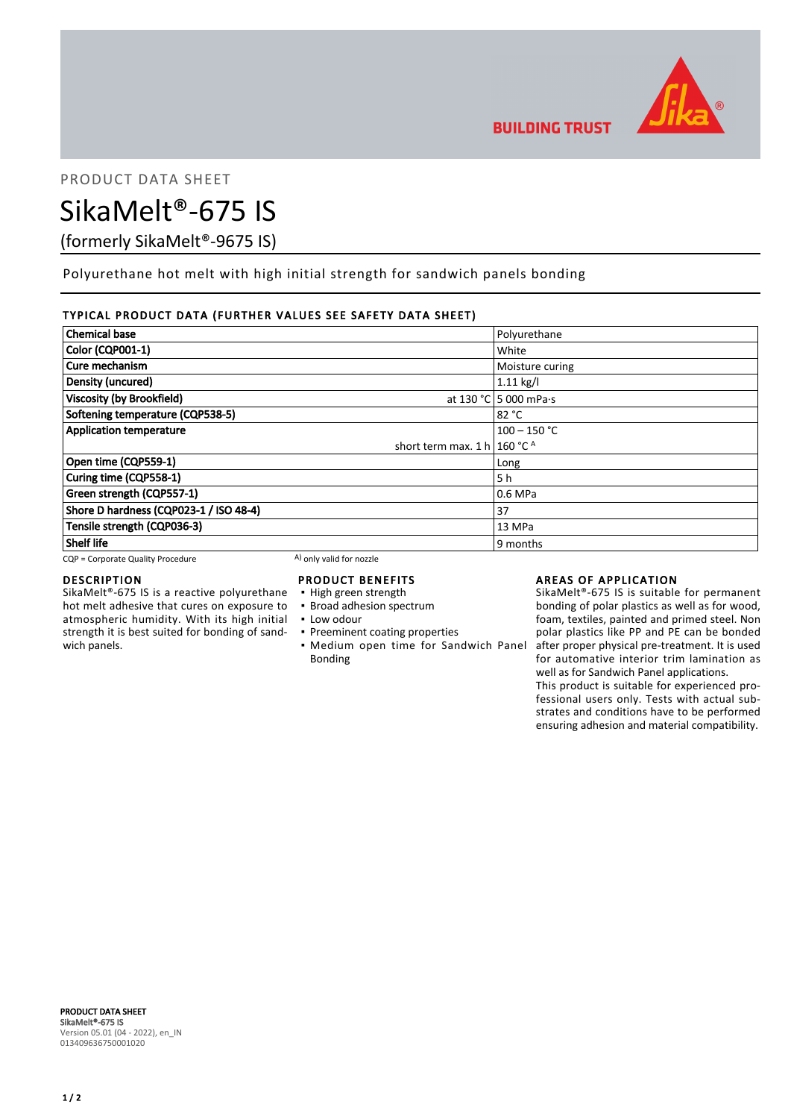

PRODUCT DATA SHEET

# SikaMelt®-675 IS

(formerly SikaMelt®-9675 IS)

Polyurethane hot melt with high initial strength for sandwich panels bonding

## TYPICAL PRODUCT DATA (FURTHER VALUES SEE SAFETY DATA SHEET)

| <b>Chemical base</b>                    | Polyurethane          |
|-----------------------------------------|-----------------------|
| Color (CQP001-1)                        | White                 |
| Cure mechanism                          | Moisture curing       |
| Density (uncured)                       | $1.11$ kg/l           |
| <b>Viscosity (by Brookfield)</b>        | at 130 °C 5 000 mPa·s |
| Softening temperature (CQP538-5)        | 82 °C                 |
| <b>Application temperature</b>          | $100 - 150$ °C        |
| short term max. 1 h   160 °C $^{\circ}$ |                       |
| Open time (CQP559-1)                    | Long                  |
| Curing time (CQP558-1)                  | 5 h                   |
| Green strength (CQP557-1)               | 0.6 MPa               |
| Shore D hardness (CQP023-1 / ISO 48-4)  | 37                    |
| Tensile strength (CQP036-3)             | 13 MPa                |
| <b>Shelf life</b>                       | 9 months              |

 $CQP =$  Corporate Quality Procedure  $(A)$  only valid for nozzle

## DESCRIPTION

SikaMelt®-675 IS is a reactive polyurethane hot melt adhesive that cures on exposure to atmospheric humidity. With its high initial strength it is best suited for bonding of sandwich panels.

# PRODUCT BENEFITS

- High green strength
- **· Broad adhesion spectrum**
- Low odour
- **Preeminent coating properties**
- **Medium open time for Sandwich Panel** Bonding

## AREAS OF APPLICATION

SikaMelt®-675 IS is suitable for permanent bonding of polar plastics as well as for wood, foam, textiles, painted and primed steel. Non polar plastics like PP and PE can be bonded after proper physical pre-treatment. It is used for automative interior trim lamination as well as for Sandwich Panel applications.

This product is suitable for experienced professional users only. Tests with actual substrates and conditions have to be performed ensuring adhesion and material compatibility.